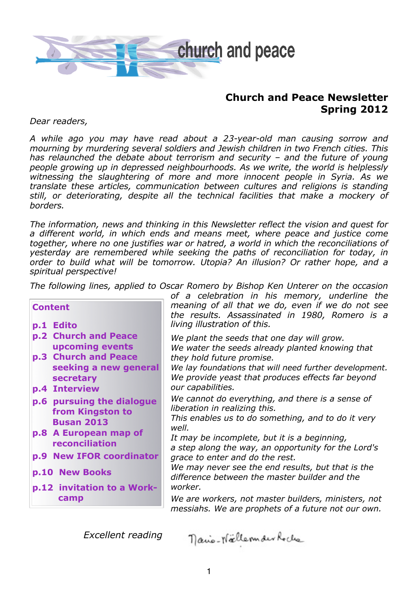

# **Church and Peace Newsletter Spring 2012**

*Dear readers,*

*A while ago you may have read about a 23-year-old man causing sorrow and mourning by murdering several soldiers and Jewish children in two French cities. This has relaunched the debate about terrorism and security – and the future of young people growing up in depressed neighbourhoods. As we write, the world is helplessly witnessing the slaughtering of more and more innocent people in Syria. As we translate these articles, communication between cultures and religions is standing still, or deteriorating, despite all the technical facilities that make a mockery of borders.*

*The information, news and thinking in this Newsletter reflect the vision and quest for a different world, in which ends and means meet, where peace and justice come together, where no one justifies war or hatred, a world in which the reconciliations of yesterday are remembered while seeking the paths of reconciliation for today, in order to build what will be tomorrow. Utopia? An illusion? Or rather hope, and a spiritual perspective!*

*The following lines, applied to Oscar Romero by Bishop Ken Unterer on the occasion* 

| <b>Content</b><br><b>Edito</b><br>p.1                                                                                                                                                                      | of a celebration in his memory, underline the<br>meaning of all that we do, even if we do not see<br>the results. Assassinated in 1980, Romero is a<br>living illustration of this.                                                                                                                                                                                                                                              |
|------------------------------------------------------------------------------------------------------------------------------------------------------------------------------------------------------------|----------------------------------------------------------------------------------------------------------------------------------------------------------------------------------------------------------------------------------------------------------------------------------------------------------------------------------------------------------------------------------------------------------------------------------|
| p.2 Church and Peace<br>upcoming events<br>p.3 Church and Peace<br>seeking a new general<br>secretary                                                                                                      | We plant the seeds that one day will grow.<br>We water the seeds already planted knowing that<br>they hold future promise.<br>We lay foundations that will need further development.<br>We provide yeast that produces effects far beyond                                                                                                                                                                                        |
| p.4 Interview<br>p.6 pursuing the dialogue<br>from Kingston to<br><b>Busan 2013</b><br>p.8 A European map of<br>reconciliation<br>p.9 New IFOR coordinator<br>p.10 New Books<br>p.12 invitation to a Work- | our capabilities.<br>We cannot do everything, and there is a sense of<br>liberation in realizing this.<br>This enables us to do something, and to do it very<br>well.<br>It may be incomplete, but it is a beginning,<br>a step along the way, an opportunity for the Lord's<br>grace to enter and do the rest.<br>We may never see the end results, but that is the<br>difference between the master builder and the<br>worker. |
| camp                                                                                                                                                                                                       | We are workers, not master builders, ministers, not<br>messiahs. We are prophets of a future not our own.                                                                                                                                                                                                                                                                                                                        |

*Excellent reading*

nano-Nällermaer Roche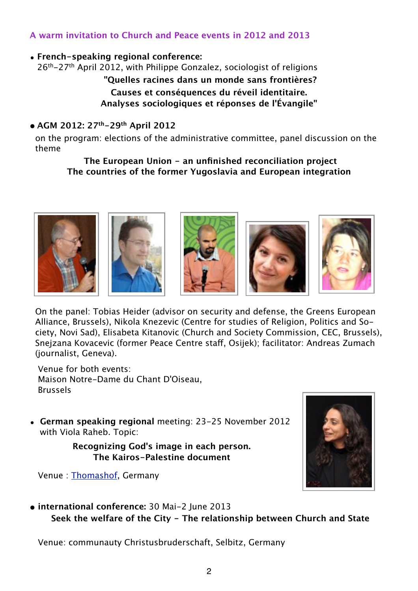# **A warm invitation to Church and Peace events in 2012 and 2013**

## • **French-speaking regional conference:**

26<sup>th</sup>-27<sup>th</sup> April 2012, with Philippe Gonzalez, sociologist of religions **"Quelles racines dans un monde sans frontières? Causes et conséquences du réveil identitaire. Analyses sociologiques et réponses de l'Évangile"**

### **• AGM 2012: 27th-29th April 2012**

 on the program: elections of the administrative committee, panel discussion on the theme

**The European Union - an unfinished reconciliation project The countries of the former Yugoslavia and European integration**











 On the panel: Tobias Heider (advisor on security and defense, the Greens European Alliance, Brussels), Nikola Knezevic (Centre for studies of Religion, Politics and So ciety, Novi Sad), Elisabeta Kitanovic (Church and Society Commission, CEC, Brussels), Snejzana Kovacevic (former Peace Centre staff, Osijek); facilitator: Andreas Zumach (journalist, Geneva).

 Venue for both events: Maison Notre-Dame du Chant D'Oiseau, Brussels

• **German speaking regional** meeting: 23-25 November 2012 with Viola Raheb. Topic:

> **Recognizing God's image in each person. The Kairos-Palestine document**

Venue : [Thomashof,](http://www.thomashof.com) Germany



**• international conference:** 30 Mai-2 June 2013  **Seek the welfare of the City - The relationship between Church and State**

Venue: communauty Christusbruderschaft, Selbitz, Germany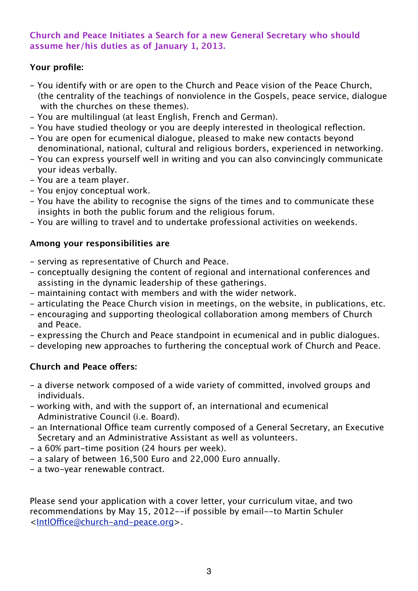## **Church and Peace Initiates a Search for a new General Secretary who should assume her/his duties as of January 1, 2013.**

## **Your profile:**

- You identify with or are open to the Church and Peace vision of the Peace Church, (the centrality of the teachings of nonviolence in the Gospels, peace service, dialogue with the churches on these themes).
- You are multilingual (at least English, French and German).
- You have studied theology or you are deeply interested in theological reflection.
- You are open for ecumenical dialogue, pleased to make new contacts beyond denominational, national, cultural and religious borders, experienced in networking.
- You can express yourself well in writing and you can also convincingly communicate your ideas verbally.
- You are a team player.
- You enjoy conceptual work.
- You have the ability to recognise the signs of the times and to communicate these insights in both the public forum and the religious forum.
- You are willing to travel and to undertake professional activities on weekends.

## **Among your responsibilities are**

- serving as representative of Church and Peace.
- conceptually designing the content of regional and international conferences and assisting in the dynamic leadership of these gatherings.
- maintaining contact with members and with the wider network.
- articulating the Peace Church vision in meetings, on the website, in publications, etc.
- encouraging and supporting theological collaboration among members of Church and Peace.
- expressing the Church and Peace standpoint in ecumenical and in public dialogues.
- developing new approaches to furthering the conceptual work of Church and Peace.

## **Church and Peace offers:**

- a diverse network composed of a wide variety of committed, involved groups and individuals.
- working with, and with the support of, an international and ecumenical Administrative Council (i.e. Board).
- an International Office team currently composed of a General Secretary, an Executive Secretary and an Administrative Assistant as well as volunteers.
- a 60% part-time position (24 hours per week).
- a salary of between 16,500 Euro and 22,000 Euro annually.
- a two-year renewable contract.

Please send your application with a cover letter, your curriculum vitae, and two recommendations by May 15, 2012--if possible by email--to Martin Schuler <IntlOffi[ce@church-and-peace.org](mailto:IntlOffice@church-and-peace.org)>.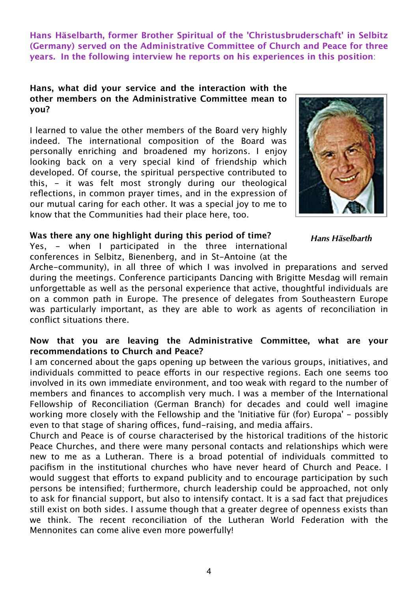**Hans Häselbarth, former Brother Spiritual of the 'Christusbruderschaft' in Selbitz (Germany) served on the Administrative Committee of Church and Peace for three years. In the following interview he reports on his experiences in this position**:

#### **Hans, what did your service and the interaction with the other members on the Administrative Committee mean to you?**

I learned to value the other members of the Board very highly indeed. The international composition of the Board was personally enriching and broadened my horizons. I enjoy looking back on a very special kind of friendship which developed. Of course, the spiritual perspective contributed to this, - it was felt most strongly during our theological reflections, in common prayer times, and in the expression of our mutual caring for each other. It was a special joy to me to know that the Communities had their place here, too.



*Hans Häselbarth*

# **Was there any one highlight during this period of time?**

Yes, - when I participated in the three international conferences in Selbitz, Bienenberg, and in St-Antoine (at the

Arche-community), in all three of which I was involved in preparations and served during the meetings. Conference participants Dancing with Brigitte Mesdag will remain unforgettable as well as the personal experience that active, thoughtful individuals are on a common path in Europe. The presence of delegates from Southeastern Europe was particularly important, as they are able to work as agents of reconciliation in conflict situations there.

## **Now that you are leaving the Administrative Committee, what are your recommendations to Church and Peace?**

I am concerned about the gaps opening up between the various groups, initiatives, and individuals committed to peace efforts in our respective regions. Each one seems too involved in its own immediate environment, and too weak with regard to the number of members and finances to accomplish very much. I was a member of the International Fellowship of Reconciliation (German Branch) for decades and could well imagine working more closely with the Fellowship and the 'Initiative für (for) Europa' - possibly even to that stage of sharing offices, fund-raising, and media affairs.

Church and Peace is of course characterised by the historical traditions of the historic Peace Churches, and there were many personal contacts and relationships which were new to me as a Lutheran. There is a broad potential of individuals committed to pacifism in the institutional churches who have never heard of Church and Peace. I would suggest that efforts to expand publicity and to encourage participation by such persons be intensified; furthermore, church leadership could be approached, not only to ask for financial support, but also to intensify contact. It is a sad fact that prejudices still exist on both sides. I assume though that a greater degree of openness exists than we think. The recent reconciliation of the Lutheran World Federation with the Mennonites can come alive even more powerfully!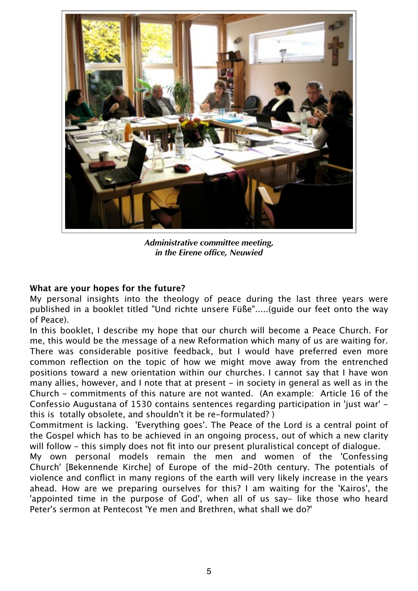

*Administrative committee meeting, in the Eirene office, Neuwied*

#### **What are your hopes for the future?**

My personal insights into the theology of peace during the last three years were published in a booklet titled "Und richte unsere Füße".....(guide our feet onto the way of Peace).

In this booklet, I describe my hope that our church will become a Peace Church. For me, this would be the message of a new Reformation which many of us are waiting for. There was considerable positive feedback, but I would have preferred even more common reflection on the topic of how we might move away from the entrenched positions toward a new orientation within our churches. I cannot say that I have won many allies, however, and I note that at present – in society in general as well as in the Church - commitments of this nature are not wanted. (An example: Article 16 of the Confessio Augustana of 1530 contains sentences regarding participation in 'just war' this is totally obsolete, and shouldn't it be re-formulated? )

Commitment is lacking. 'Everything goes'. The Peace of the Lord is a central point of the Gospel which has to be achieved in an ongoing process, out of which a new clarity will follow – this simply does not fit into our present pluralistical concept of dialogue.

My own personal models remain the men and women of the 'Confessing Church' [Bekennende Kirche] of Europe of the mid-20th century. The potentials of violence and conflict in many regions of the earth will very likely increase in the years ahead. How are we preparing ourselves for this? I am waiting for the 'Kairos', the 'appointed time in the purpose of God', when all of us say- like those who heard Peter's sermon at Pentecost 'Ye men and Brethren, what shall we do?'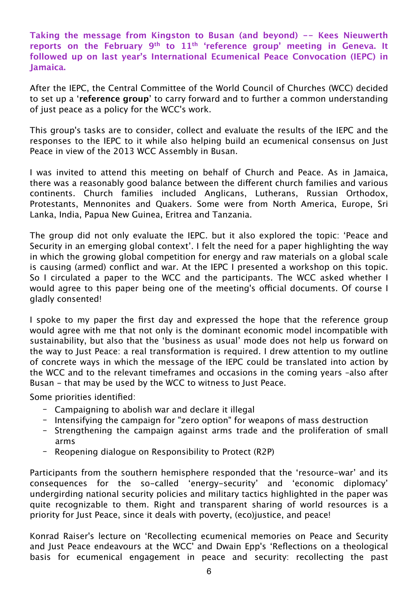**Taking the message from Kingston to Busan (and beyond) -- Kees Nieuwerth reports on the February 9th to 11th 'reference group' meeting in Geneva. It followed up on last year's International Ecumenical Peace Convocation (IEPC) in Jamaica.**

After the IEPC, the Central Committee of the World Council of Churches (WCC) decided to set up a '**reference group**' to carry forward and to further a common understanding of just peace as a policy for the WCC's work.

This group's tasks are to consider, collect and evaluate the results of the IEPC and the responses to the IEPC to it while also helping build an ecumenical consensus on Just Peace in view of the 2013 WCC Assembly in Busan.

I was invited to attend this meeting on behalf of Church and Peace. As in Jamaica, there was a reasonably good balance between the different church families and various continents. Church families included Anglicans, Lutherans, Russian Orthodox, Protestants, Mennonites and Quakers. Some were from North America, Europe, Sri Lanka, India, Papua New Guinea, Eritrea and Tanzania.

The group did not only evaluate the IEPC. but it also explored the topic: 'Peace and Security in an emerging global context'. I felt the need for a paper highlighting the way in which the growing global competition for energy and raw materials on a global scale is causing (armed) conflict and war. At the IEPC I presented a workshop on this topic. So I circulated a paper to the WCC and the participants. The WCC asked whether I would agree to this paper being one of the meeting's official documents. Of course I gladly consented!

I spoke to my paper the first day and expressed the hope that the reference group would agree with me that not only is the dominant economic model incompatible with sustainability, but also that the 'business as usual' mode does not help us forward on the way to Just Peace: a real transformation is required. I drew attention to my outline of concrete ways in which the message of the IEPC could be translated into action by the WCC and to the relevant timeframes and occasions in the coming years –also after Busan - that may be used by the WCC to witness to Just Peace.

Some priorities identified:

- Campaigning to abolish war and declare it illegal
- Intensifying the campaign for "zero option" for weapons of mass destruction
- Strengthening the campaign against arms trade and the proliferation of small arms
- Reopening dialogue on Responsibility to Protect (R2P)

Participants from the southern hemisphere responded that the 'resource-war' and its consequences for the so-called 'energy-security' and 'economic diplomacy' undergirding national security policies and military tactics highlighted in the paper was quite recognizable to them. Right and transparent sharing of world resources is a priority for Just Peace, since it deals with poverty, (eco)justice, and peace!

Konrad Raiser's lecture on 'Recollecting ecumenical memories on Peace and Security and Just Peace endeavours at the WCC' and Dwain Epp's 'Reflections on a theological basis for ecumenical engagement in peace and security: recollecting the past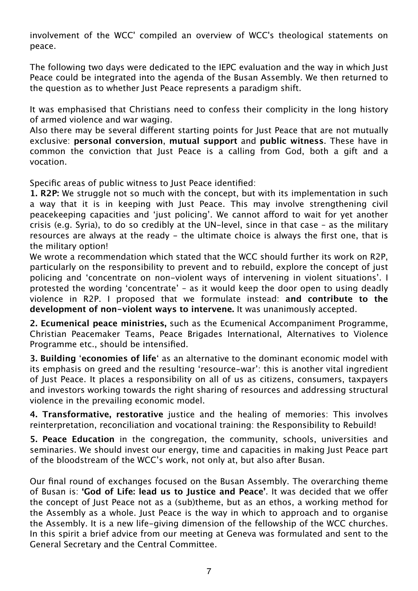involvement of the WCC' compiled an overview of WCC's theological statements on peace.

The following two days were dedicated to the IEPC evaluation and the way in which Just Peace could be integrated into the agenda of the Busan Assembly. We then returned to the question as to whether Just Peace represents a paradigm shift.

It was emphasised that Christians need to confess their complicity in the long history of armed violence and war waging.

Also there may be several different starting points for Just Peace that are not mutually exclusive: **personal conversion**, **mutual support** and **public witness**. These have in common the conviction that Just Peace is a calling from God, both a gift and a vocation.

Specific areas of public witness to lust Peace identified:

**1. R2P:** We struggle not so much with the concept, but with its implementation in such a way that it is in keeping with Just Peace. This may involve strengthening civil peacekeeping capacities and 'iust policing'. We cannot afford to wait for yet another crisis (e.g. Syria), to do so credibly at the UN-level, since in that case – as the military resources are always at the ready - the ultimate choice is always the first one, that is the military option!

We wrote a recommendation which stated that the WCC should further its work on R2P, particularly on the responsibility to prevent and to rebuild, explore the concept of just policing and 'concentrate on non-violent ways of intervening in violent situations'. I protested the wording 'concentrate' – as it would keep the door open to using deadly violence in R2P. I proposed that we formulate instead: **and contribute to the development of non-violent ways to intervene.** It was unanimously accepted.

**2. Ecumenical peace ministries,** such as the Ecumenical Accompaniment Programme, Christian Peacemaker Teams, Peace Brigades International, Alternatives to Violence Programme etc., should be intensified.

**3. Building** '**economies of life**' as an alternative to the dominant economic model with its emphasis on greed and the resulting 'resource-war': this is another vital ingredient of Just Peace. It places a responsibility on all of us as citizens, consumers, taxpayers and investors working towards the right sharing of resources and addressing structural violence in the prevailing economic model.

**4. Transformative, restorative** justice and the healing of memories: This involves reinterpretation, reconciliation and vocational training: the Responsibility to Rebuild!

**5. Peace Education** in the congregation, the community, schools, universities and seminaries. We should invest our energy, time and capacities in making Just Peace part of the bloodstream of the WCC's work, not only at, but also after Busan.

Our final round of exchanges focused on the Busan Assembly. The overarching theme of Busan is: **'God of Life: lead us to Justice and Peace'**. It was decided that we offer the concept of Just Peace not as a (sub)theme, but as an ethos, a working method for the Assembly as a whole. Just Peace is the way in which to approach and to organise the Assembly. It is a new life-giving dimension of the fellowship of the WCC churches. In this spirit a brief advice from our meeting at Geneva was formulated and sent to the General Secretary and the Central Committee.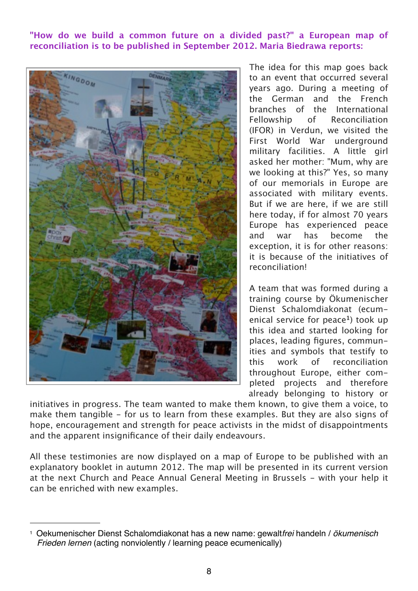**"How do we build a common future on a divided past?" a European map of reconciliation is to be published in September 2012. Maria Biedrawa reports:**



The idea for this map goes back to an event that occurred several years ago. During a meeting of the German and the French branches of the International Fellowship of Reconciliation (IFOR) in Verdun, we visited the First World War underground military facilities. A little girl asked her mother: "Mum, why are we looking at this?" Yes, so many of our memorials in Europe are associated with military events. But if we are here, if we are still here today, if for almost 70 years Europe has experienced peace and war has become the exception, it is for other reasons: it is because of the initiatives of reconciliation!

A team that was formed during a training course by Ökumenischer Dienst Schalomdiakonat (ecumenical service for peace**[1](#page-7-0)**) took up this idea and started looking for places, leading figures, communities and symbols that testify to this work of reconciliation throughout Europe, either completed projects and therefore already belonging to history or

initiatives in progress. The team wanted to make them known, to give them a voice, to make them tangible - for us to learn from these examples. But they are also signs of hope, encouragement and strength for peace activists in the midst of disappointments and the apparent insignificance of their daily endeavours.

All these testimonies are now displayed on a map of Europe to be published with an explanatory booklet in autumn 2012. The map will be presented in its current version at the next Church and Peace Annual General Meeting in Brussels - with your help it can be enriched with new examples.

<span id="page-7-0"></span><sup>1</sup> Oekumenischer Dienst Schalomdiakonat has a new name: gewalt*frei* handeln / *ökumenisch Frieden lernen* (acting nonviolently / learning peace ecumenically)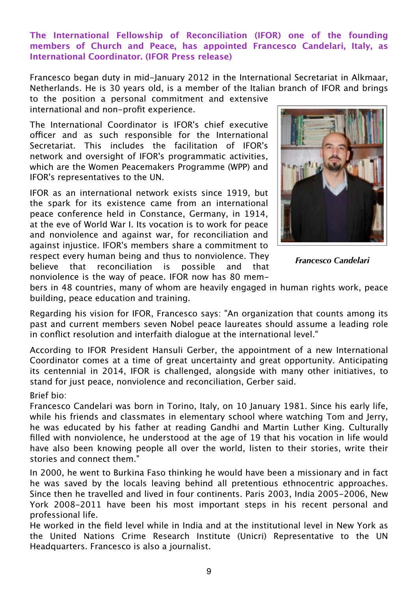**The International Fellowship of Reconciliation (IFOR) one of the founding members of Church and Peace, has appointed Francesco Candelari, Italy, as International Coordinator. (IFOR Press release)**

Francesco began duty in mid-January 2012 in the International Secretariat in Alkmaar, Netherlands. He is 30 years old, is a member of the Italian branch of IFOR and brings to the position a personal commitment and extensive

international and non-profit experience.

The International Coordinator is IFOR's chief executive officer and as such responsible for the International Secretariat. This includes the facilitation of IFOR's network and oversight of IFOR's programmatic activities, which are the Women Peacemakers Programme (WPP) and IFOR's representatives to the UN.

IFOR as an international network exists since 1919, but the spark for its existence came from an international peace conference held in Constance, Germany, in 1914, at the eve of World War I. Its vocation is to work for peace and nonviolence and against war, for reconciliation and against injustice. IFOR's members share a commitment to respect every human being and thus to nonviolence. They believe that reconciliation is possible and that nonviolence is the way of peace. IFOR now has 80 mem-



*Francesco Candelari*

bers in 48 countries, many of whom are heavily engaged in human rights work, peace building, peace education and training.

Regarding his vision for IFOR, Francesco says: "An organization that counts among its past and current members seven Nobel peace laureates should assume a leading role in conflict resolution and interfaith dialogue at the international level."

According to IFOR President Hansuli Gerber, the appointment of a new International Coordinator comes at a time of great uncertainty and great opportunity. Anticipating its centennial in 2014, IFOR is challenged, alongside with many other initiatives, to stand for just peace, nonviolence and reconciliation, Gerber said.

#### Brief bio:

Francesco Candelari was born in Torino, Italy, on 10 January 1981. Since his early life, while his friends and classmates in elementary school where watching Tom and Jerry, he was educated by his father at reading Gandhi and Martin Luther King. Culturally filled with nonviolence, he understood at the age of 19 that his vocation in life would have also been knowing people all over the world, listen to their stories, write their stories and connect them."

In 2000, he went to Burkina Faso thinking he would have been a missionary and in fact he was saved by the locals leaving behind all pretentious ethnocentric approaches. Since then he travelled and lived in four continents. Paris 2003, India 2005-2006, New York 2008-2011 have been his most important steps in his recent personal and professional life.

He worked in the field level while in India and at the institutional level in New York as the United Nations Crime Research Institute (Unicri) Representative to the UN Headquarters. Francesco is also a journalist.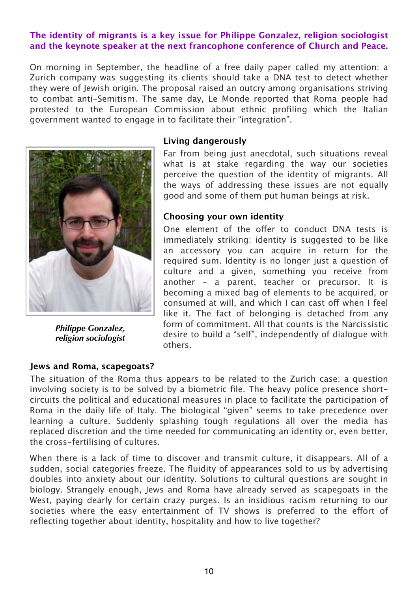### **The identity of migrants is a key issue for Philippe Gonzalez, religion sociologist and the keynote speaker at the next francophone conference of Church and Peace.**

On morning in September, the headline of a free daily paper called my attention: a Zurich company was suggesting its clients should take a DNA test to detect whether they were of Jewish origin. The proposal raised an outcry among organisations striving to combat anti-Semitism. The same day, Le Monde reported that Roma people had protested to the European Commission about ethnic profiling which the Italian government wanted to engage in to facilitate their "integration".



*Philippe Gonzalez, religion sociologist*

#### **Living dangerously**

Far from being just anecdotal, such situations reveal what is at stake regarding the way our societies perceive the question of the identity of migrants. All the ways of addressing these issues are not equally good and some of them put human beings at risk.

#### **Choosing your own identity**

One element of the offer to conduct DNA tests is immediately striking: identity is suggested to be like an accessory you can acquire in return for the required sum. Identity is no longer just a question of culture and a given, something you receive from another – a parent, teacher or precursor. It is becoming a mixed bag of elements to be acquired, or consumed at will, and which I can cast off when I feel like it. The fact of belonging is detached from any form of commitment. All that counts is the Narcissistic desire to build a "self", independently of dialogue with others.

#### **Jews and Roma, scapegoats?**

The situation of the Roma thus appears to be related to the Zurich case: a question involving society is to be solved by a biometric file. The heavy police presence shortcircuits the political and educational measures in place to facilitate the participation of Roma in the daily life of Italy. The biological "given" seems to take precedence over learning a culture. Suddenly splashing tough regulations all over the media has replaced discretion and the time needed for communicating an identity or, even better, the cross-fertilising of cultures.

When there is a lack of time to discover and transmit culture, it disappears. All of a sudden, social categories freeze. The fluidity of appearances sold to us by advertising doubles into anxiety about our identity. Solutions to cultural questions are sought in biology. Strangely enough, Jews and Roma have already served as scapegoats in the West, paying dearly for certain crazy purges. Is an insidious racism returning to our societies where the easy entertainment of TV shows is preferred to the effort of reflecting together about identity, hospitality and how to live together?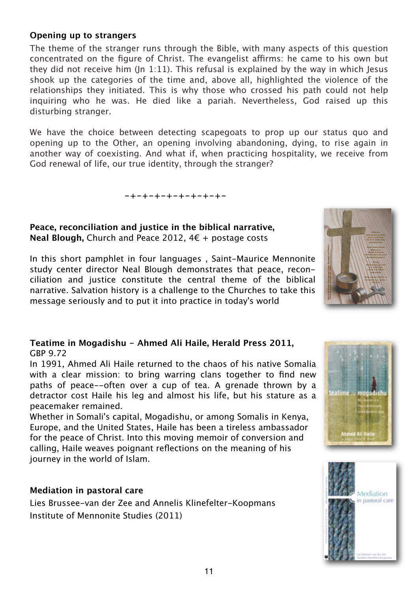## **Opening up to strangers**

The theme of the stranger runs through the Bible, with many aspects of this question concentrated on the figure of Christ. The evangelist affirms: he came to his own but they did not receive him (In 1:11). This refusal is explained by the way in which Jesus shook up the categories of the time and, above all, highlighted the violence of the relationships they initiated. This is why those who crossed his path could not help inquiring who he was. He died like a pariah. Nevertheless, God raised up this disturbing stranger.

We have the choice between detecting scapegoats to prop up our status quo and opening up to the Other, an opening involving abandoning, dying, to rise again in another way of coexisting. And what if, when practicing hospitality, we receive from God renewal of life, our true identity, through the stranger?

**-+-+-+-+-+-+-+-+-**

#### **Peace, reconciliation and justice in the biblical narrative, Neal Blough,** Church and Peace 2012, 4€ + postage costs

In this short pamphlet in four languages , Saint-Maurice Mennonite study center director Neal Blough demonstrates that peace, reconciliation and justice constitute the central theme of the biblical narrative. Salvation history is a challenge to the Churches to take this message seriously and to put it into practice in today's world

#### **Teatime in Mogadishu - Ahmed Ali Haile, Herald Press 2011,**  GBP 9.72

In 1991, Ahmed Ali Haile returned to the chaos of his native Somalia with a clear mission: to bring warring clans together to find new paths of peace--often over a cup of tea. A grenade thrown by a detractor cost Haile his leg and almost his life, but his stature as a peacemaker remained.

Whether in Somali's capital, Mogadishu, or among Somalis in Kenya, Europe, and the United States, Haile has been a tireless ambassador for the peace of Christ. Into this moving memoir of conversion and calling, Haile weaves poignant reflections on the meaning of his journey in the world of Islam.

#### **Mediation in pastoral care**

Lies Brussee-van der Zee and Annelis Klinefelter-Koopmans Institute of Mennonite Studies (2011)